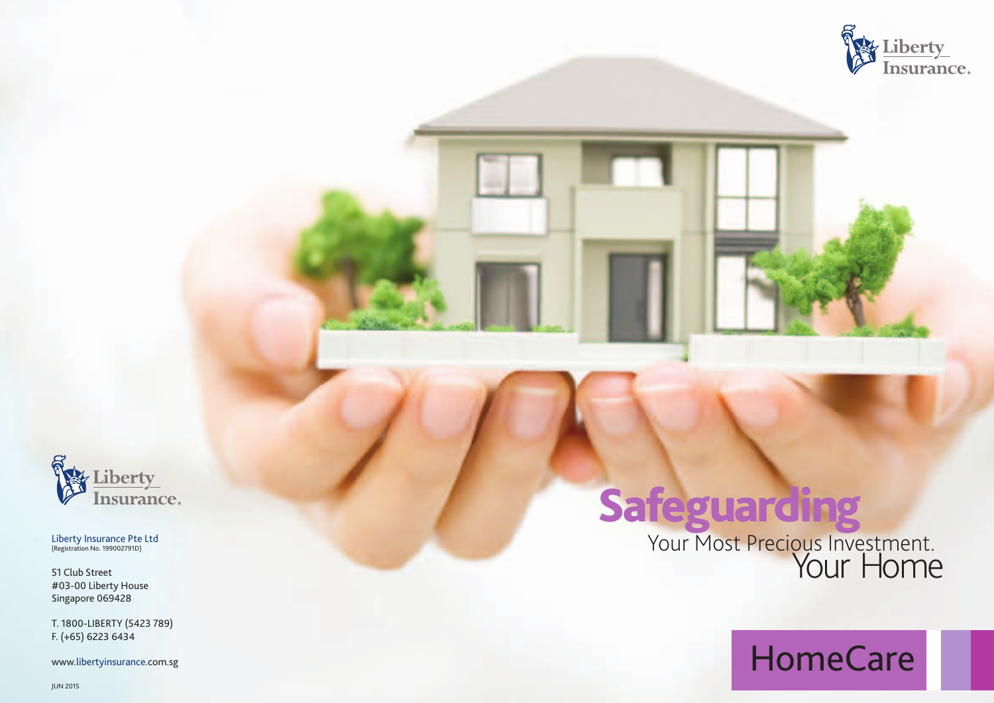



Liberty Insurance Pte Ltd<br>(Registration No. 199002791D)

51 Club Street #03-00 Liberty House Singapore 069428

T. 1800-LIBERTY (5423 789) F.  $(+65)$  6223 6434

www.libertyinsurance.com.sg

Safeguarding<br>Your Most Precious Investment.

HomeCare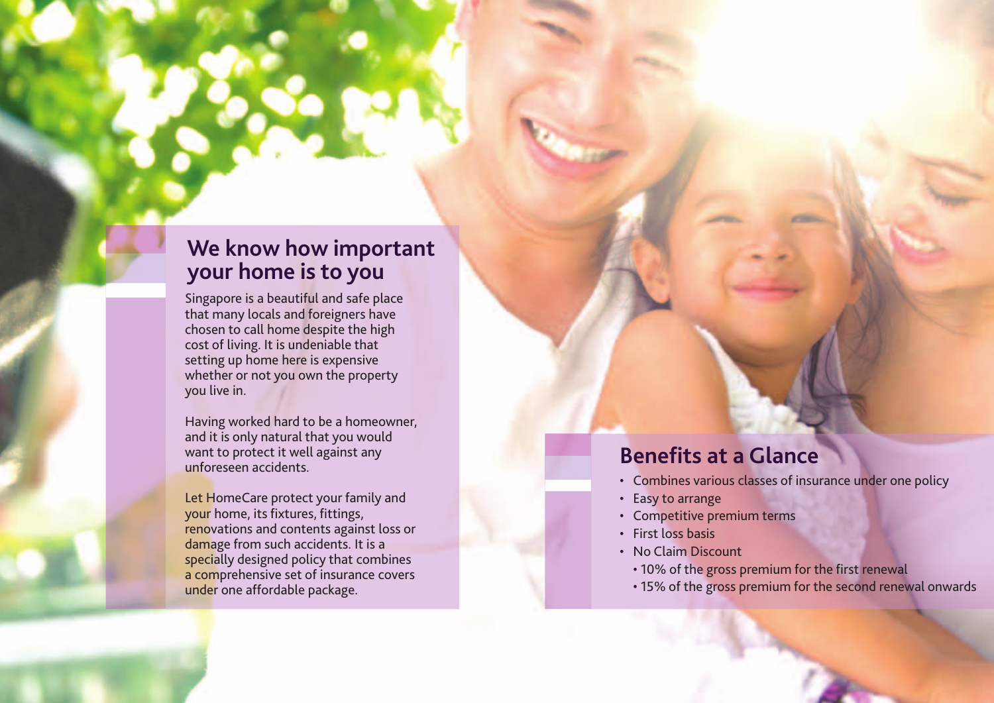### **We know how important your home is to you**

Singapore is a beautiful and safe place that many locals and foreigners have chosen to call home despite the high cost of living. It is undeniable that setting up home here is expensive whether or not you own the property you live in.

Having worked hard to be a homeowner, and it is only natural that you would want to protect it well against any unforeseen accidents.

Let HomeCare protect your family and your home, its fixtures, fittings, renovations and contents against loss or damage from such accidents. It is a specially designed policy that combines a comprehensive set of insurance covers under one affordable package.

# **Benefits at a Glance**

- Combines various classes of insurance under one policy
- Easy to arrange
- Competitive premium terms
- First loss basis
- No Claim Discount
	- 10% of the gross premium for the first renewal
	- 15% of the gross premium for the second renewal onwards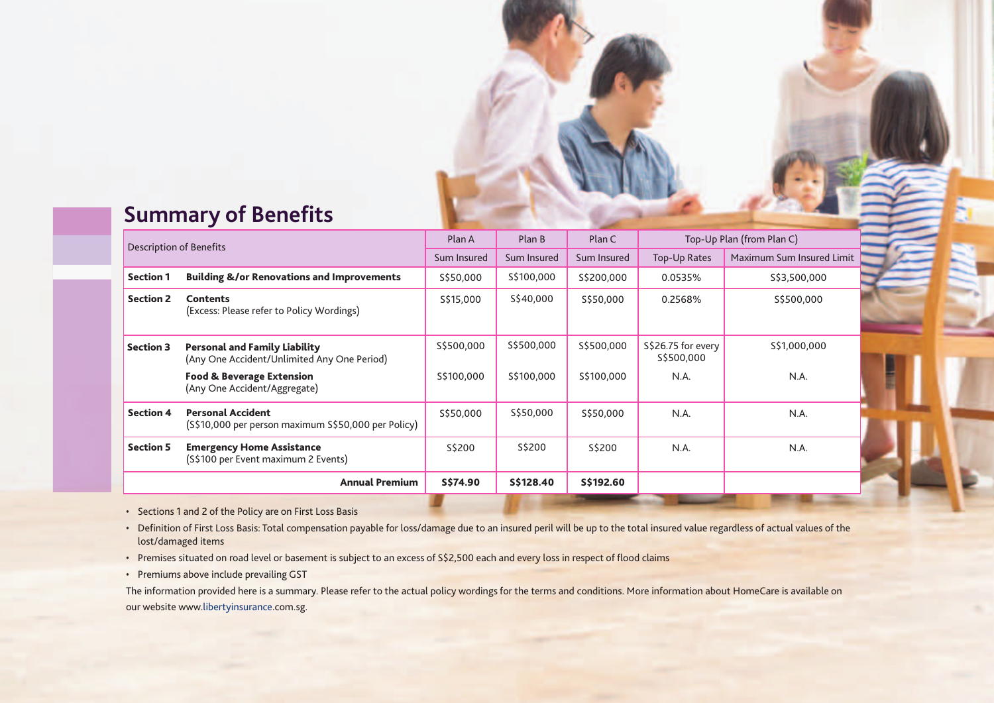## **Summary of Benefits**

| Description of Benefits |                                                                                     | Plan A      | Plan B      | Plan C      | Top-Up Plan (from Plan C)        |                           |
|-------------------------|-------------------------------------------------------------------------------------|-------------|-------------|-------------|----------------------------------|---------------------------|
|                         |                                                                                     | Sum Insured | Sum Insured | Sum Insured | <b>Top-Up Rates</b>              | Maximum Sum Insured Limit |
| <b>Section 1</b>        | <b>Building &amp;/or Renovations and Improvements</b>                               | \$\$50,000  | \$\$100,000 | \$\$200,000 | 0.0535%                          | \$\$3,500,000             |
| <b>Section 2</b>        | <b>Contents</b><br>(Excess: Please refer to Policy Wordings)                        | S\$15,000   | S\$40,000   | \$\$50,000  | 0.2568%                          | \$\$500,000               |
| <b>Section 3</b>        | <b>Personal and Family Liability</b><br>(Any One Accident/Unlimited Any One Period) | \$\$500,000 | \$\$500,000 | \$\$500,000 | S\$26.75 for every<br>S\$500,000 | \$\$1,000,000             |
|                         | <b>Food &amp; Beverage Extension</b><br>(Any One Accident/Aggregate)                | \$\$100,000 | \$\$100,000 | S\$100,000  | N.A.                             | N.A.                      |
| <b>Section 4</b>        | <b>Personal Accident</b><br>(S\$10,000 per person maximum S\$50,000 per Policy)     | \$\$50,000  | \$\$50,000  | S\$50,000   | N.A.                             | N.A.                      |
| <b>Section 5</b>        | <b>Emergency Home Assistance</b><br>(S\$100 per Event maximum 2 Events)             | S\$200      | S\$200      | S\$200      | N.A.                             | N.A.                      |
|                         | <b>Annual Premium</b>                                                               | S\$74.90    | S\$128.40   | S\$192.60   |                                  |                           |

• Sections 1 and 2 of the Policy are on First Loss Basis

- Definition of First Loss Basis: Total compensation payable for loss/damage due to an insured peril will be up to the total insured value regardless of actual values of the lost/damaged items
- Premises situated on road level or basement is subject to an excess of S\$2,500 each and every loss in respect of flood claims
- Premiums above include prevailing GST

The information provided here is a summary. Please refer to the actual policy wordings for the terms and conditions. More information about HomeCare is available on our website www.libertyinsurance.com.sg.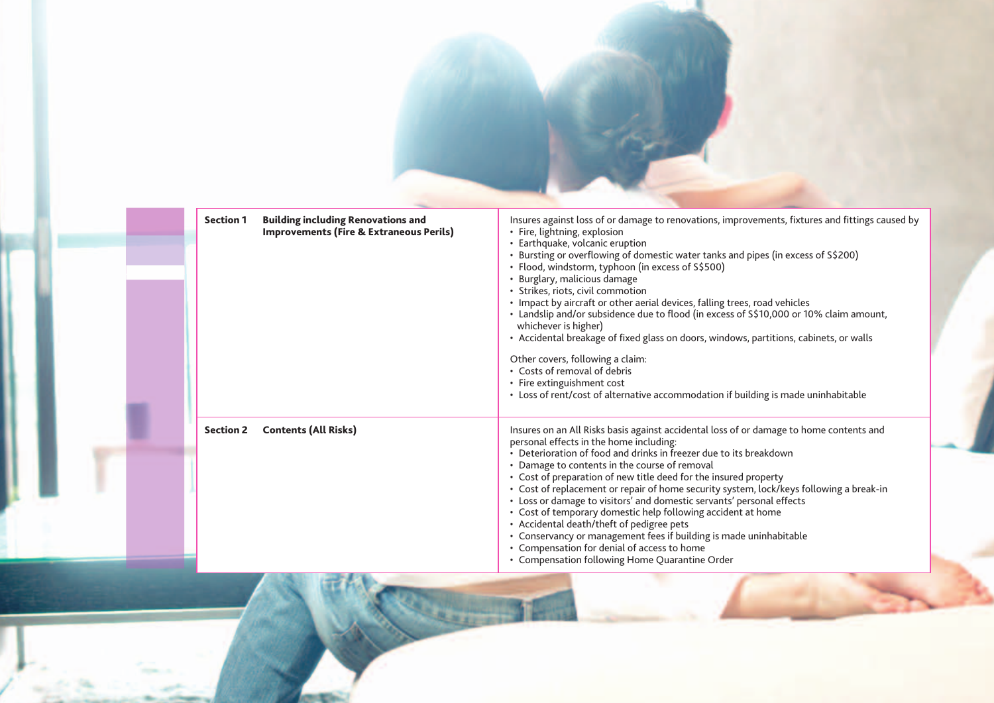| <b>Building including Renovations and</b><br><b>Section 1</b><br><b>Improvements (Fire &amp; Extraneous Perils)</b> | Insures against loss of or damage to renovations, improvements, fixtures and fittings caused by<br>• Fire, lightning, explosion<br>• Earthquake, volcanic eruption<br>• Bursting or overflowing of domestic water tanks and pipes (in excess of S\$200)<br>· Flood, windstorm, typhoon (in excess of S\$500)<br>• Burglary, malicious damage<br>• Strikes, riots, civil commotion<br>• Impact by aircraft or other aerial devices, falling trees, road vehicles<br>• Landslip and/or subsidence due to flood (in excess of S\$10,000 or 10% claim amount,<br>whichever is higher)<br>• Accidental breakage of fixed glass on doors, windows, partitions, cabinets, or walls<br>Other covers, following a claim:<br>• Costs of removal of debris<br>• Fire extinguishment cost<br>• Loss of rent/cost of alternative accommodation if building is made uninhabitable |
|---------------------------------------------------------------------------------------------------------------------|---------------------------------------------------------------------------------------------------------------------------------------------------------------------------------------------------------------------------------------------------------------------------------------------------------------------------------------------------------------------------------------------------------------------------------------------------------------------------------------------------------------------------------------------------------------------------------------------------------------------------------------------------------------------------------------------------------------------------------------------------------------------------------------------------------------------------------------------------------------------|
| <b>Contents (All Risks)</b><br><b>Section 2</b>                                                                     | Insures on an All Risks basis against accidental loss of or damage to home contents and<br>personal effects in the home including:<br>• Deterioration of food and drinks in freezer due to its breakdown<br>• Damage to contents in the course of removal<br>• Cost of preparation of new title deed for the insured property<br>• Cost of replacement or repair of home security system, lock/keys following a break-in<br>• Loss or damage to visitors' and domestic servants' personal effects<br>• Cost of temporary domestic help following accident at home<br>• Accidental death/theft of pedigree pets<br>• Conservancy or management fees if building is made uninhabitable<br>• Compensation for denial of access to home<br>• Compensation following Home Quarantine Order                                                                               |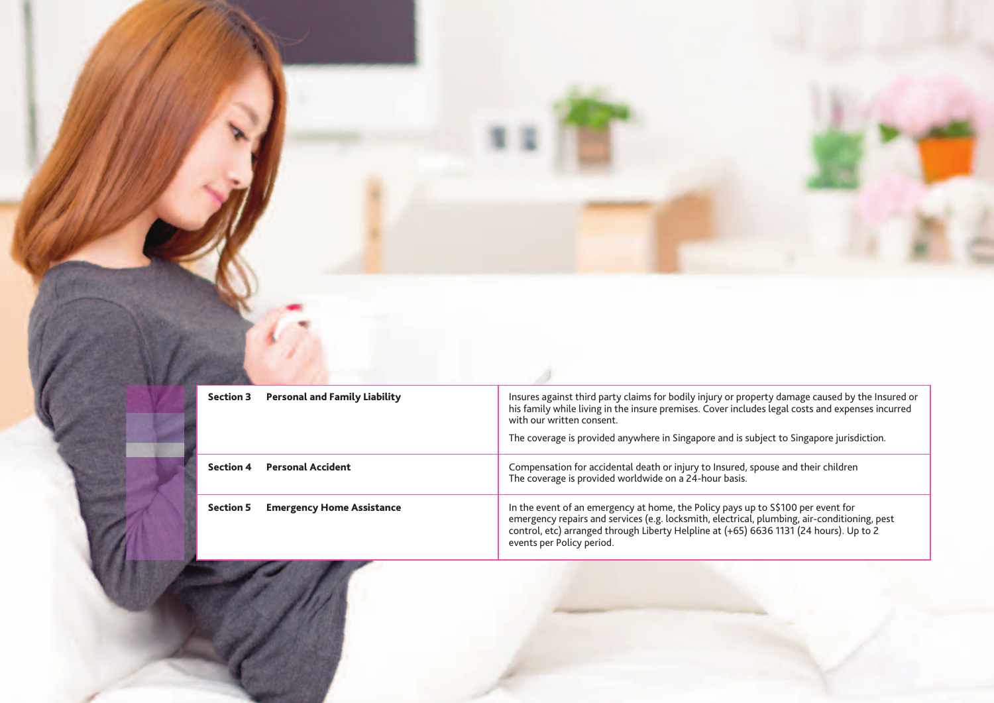| <b>Section 3</b> | <b>Personal and Family Liability</b> | Insures against third party claims for bodily injury or property damage caused by the Insured or<br>his family while living in the insure premises. Cover includes legal costs and expenses incurred<br>with our written consent.<br>The coverage is provided anywhere in Singapore and is subject to Singapore jurisdiction. |
|------------------|--------------------------------------|-------------------------------------------------------------------------------------------------------------------------------------------------------------------------------------------------------------------------------------------------------------------------------------------------------------------------------|
| <b>Section 4</b> | <b>Personal Accident</b>             | Compensation for accidental death or injury to Insured, spouse and their children<br>The coverage is provided worldwide on a 24-hour basis.                                                                                                                                                                                   |
| <b>Section 5</b> | <b>Emergency Home Assistance</b>     | In the event of an emergency at home, the Policy pays up to S\$100 per event for<br>emergency repairs and services (e.g. locksmith, electrical, plumbing, air-conditioning, pest<br>control, etc) arranged through Liberty Helpline at (+65) 6636 1131 (24 hours). Up to 2<br>events per Policy period.                       |